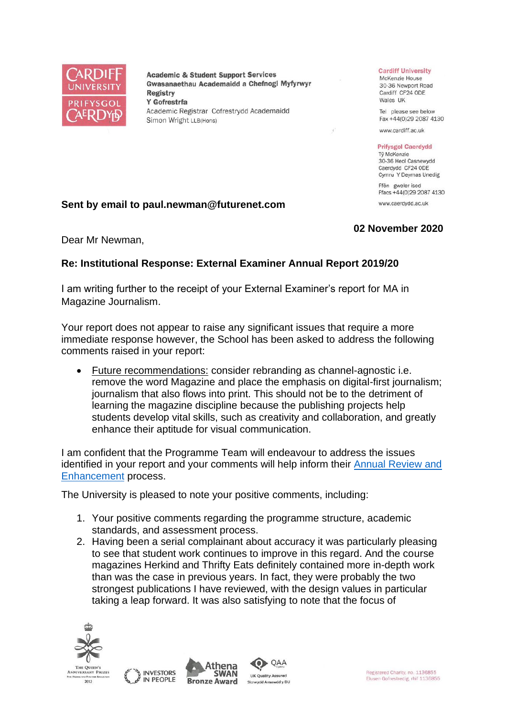

**Academic & Student Support Services** Gwasanaethau Academaidd a Chefnogi Myfyrwyr **Registry** Y Gofrestrfa Academic Registrar Cofrestrydd Academaidd Simon Wright LLB(Hons)

#### **Cardiff University**

McKenzie House 30-36 Newport Road Cardiff CF24 ODE Wales UK

Tel please see below Fax +44(0)29 2087 4130

www.cardiff.ac.uk

### **Prifysgol Caerdydd**

Tỷ McKenzie 30-36 Heol Casnewydd Caerdydd CF24 ODE Cymru Y Deyrnas Unedig

Ffôn gweler isod Ffacs +44(0)29 2087 4130 www.caerdydd.ac.uk

# **Sent by email to paul.newman@futurenet.com**

## **02 November 2020**

Dear Mr Newman,

### **Re: Institutional Response: External Examiner Annual Report 2019/20**

I am writing further to the receipt of your External Examiner's report for MA in Magazine Journalism.

Your report does not appear to raise any significant issues that require a more immediate response however, the School has been asked to address the following comments raised in your report:

• Future recommendations: consider rebranding as channel-agnostic i.e. remove the word Magazine and place the emphasis on digital-first journalism; journalism that also flows into print. This should not be to the detriment of learning the magazine discipline because the publishing projects help students develop vital skills, such as creativity and collaboration, and greatly enhance their aptitude for visual communication.

I am confident that the Programme Team will endeavour to address the issues identified in your report and your comments will help inform their [Annual Review and](https://www.cardiff.ac.uk/public-information/quality-and-standards/monitoring-and-review/annual-review-and-enhancement)  [Enhancement](https://www.cardiff.ac.uk/public-information/quality-and-standards/monitoring-and-review/annual-review-and-enhancement) process.

The University is pleased to note your positive comments, including:

- 1. Your positive comments regarding the programme structure, academic standards, and assessment process.
- 2. Having been a serial complainant about accuracy it was particularly pleasing to see that student work continues to improve in this regard. And the course magazines Herkind and Thrifty Eats definitely contained more in-depth work than was the case in previous years. In fact, they were probably the two strongest publications I have reviewed, with the design values in particular taking a leap forward. It was also satisfying to note that the focus of

QAA